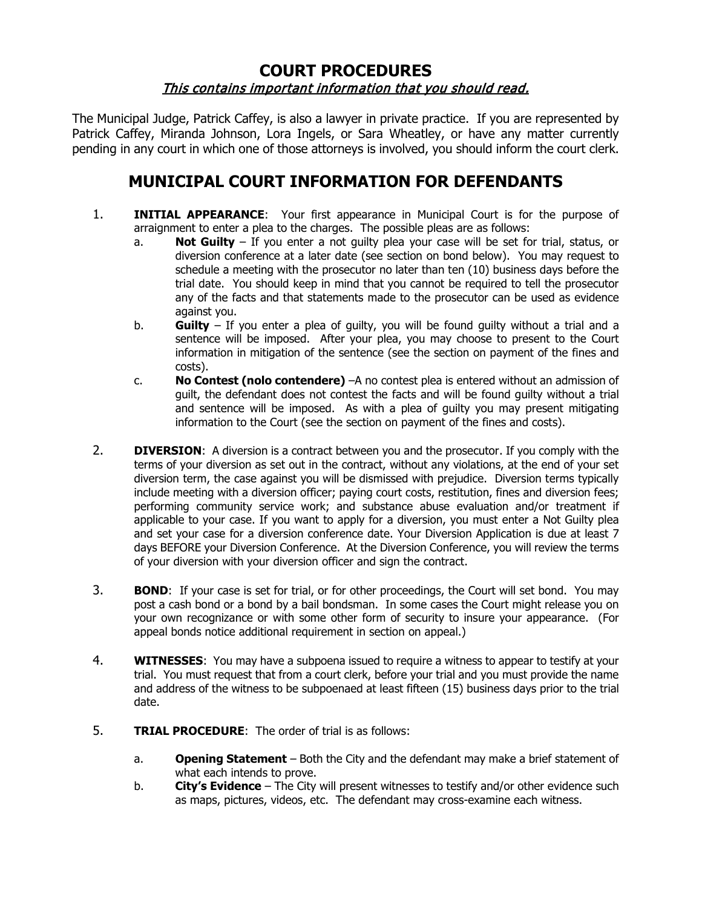## **COURT PROCEDURES** This contains important information that you should read.

The Municipal Judge, Patrick Caffey, is also a lawyer in private practice. If you are represented by Patrick Caffey, Miranda Johnson, Lora Ingels, or Sara Wheatley, or have any matter currently pending in any court in which one of those attorneys is involved, you should inform the court clerk.

## **MUNICIPAL COURT INFORMATION FOR DEFENDANTS**

- 1. **INITIAL APPEARANCE**: Your first appearance in Municipal Court is for the purpose of arraignment to enter a plea to the charges. The possible pleas are as follows:
	- a. **Not Guilty** If you enter a not guilty plea your case will be set for trial, status, or diversion conference at a later date (see section on bond below). You may request to schedule a meeting with the prosecutor no later than ten (10) business days before the trial date. You should keep in mind that you cannot be required to tell the prosecutor any of the facts and that statements made to the prosecutor can be used as evidence against you.
	- b. **Guilty** If you enter a plea of guilty, you will be found guilty without a trial and a sentence will be imposed. After your plea, you may choose to present to the Court information in mitigation of the sentence (see the section on payment of the fines and costs).
	- c. **No Contest (nolo contendere)** –A no contest plea is entered without an admission of guilt, the defendant does not contest the facts and will be found guilty without a trial and sentence will be imposed. As with a plea of guilty you may present mitigating information to the Court (see the section on payment of the fines and costs).
- 2. **DIVERSION**: A diversion is a contract between you and the prosecutor. If you comply with the terms of your diversion as set out in the contract, without any violations, at the end of your set diversion term, the case against you will be dismissed with prejudice. Diversion terms typically include meeting with a diversion officer; paying court costs, restitution, fines and diversion fees; performing community service work; and substance abuse evaluation and/or treatment if applicable to your case. If you want to apply for a diversion, you must enter a Not Guilty plea and set your case for a diversion conference date. Your Diversion Application is due at least 7 days BEFORE your Diversion Conference. At the Diversion Conference, you will review the terms of your diversion with your diversion officer and sign the contract.
- 3. **BOND**: If your case is set for trial, or for other proceedings, the Court will set bond. You may post a cash bond or a bond by a bail bondsman. In some cases the Court might release you on your own recognizance or with some other form of security to insure your appearance. (For appeal bonds notice additional requirement in section on appeal.)
- 4. **WITNESSES**: You may have a subpoena issued to require a witness to appear to testify at your trial. You must request that from a court clerk, before your trial and you must provide the name and address of the witness to be subpoenaed at least fifteen (15) business days prior to the trial date.
- 5. **TRIAL PROCEDURE**: The order of trial is as follows:
	- a. **Opening Statement** Both the City and the defendant may make a brief statement of what each intends to prove.
	- b. **City's Evidence** The City will present witnesses to testify and/or other evidence such as maps, pictures, videos, etc. The defendant may cross-examine each witness.